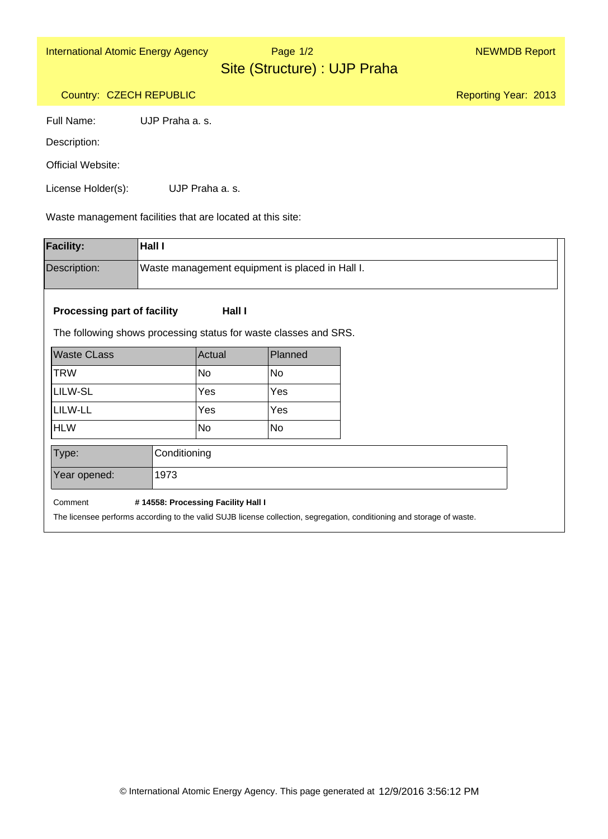### Site (Structure) : UJP Praha Page 1/2International Atomic Energy Agency Nege 1/2 NEWMDB Report

Reporting Year: 2013

## Country: CZECH REPUBLIC

Full Name: UJP Praha a. s.

Description:

Official Website:

License Holder(s): UJP Praha a. s.

Waste management facilities that are located at this site:

| <b>Facility:</b>                                                                                                      | Hall I                             |           |                                                 |
|-----------------------------------------------------------------------------------------------------------------------|------------------------------------|-----------|-------------------------------------------------|
| Description:                                                                                                          |                                    |           | Waste management equipment is placed in Hall I. |
| <b>Processing part of facility</b>                                                                                    |                                    | Hall I    |                                                 |
| The following shows processing status for waste classes and SRS.                                                      |                                    |           |                                                 |
| <b>Waste CLass</b>                                                                                                    |                                    | Actual    | Planned                                         |
| <b>TRW</b>                                                                                                            |                                    | <b>No</b> | <b>No</b>                                       |
| LILW-SL                                                                                                               |                                    | Yes       | Yes                                             |
| LILW-LL                                                                                                               |                                    | Yes       | Yes                                             |
| <b>HLW</b>                                                                                                            |                                    | <b>No</b> | No.                                             |
| Type:                                                                                                                 | Conditioning                       |           |                                                 |
| Year opened:                                                                                                          | 1973                               |           |                                                 |
| Comment                                                                                                               | #14558: Processing Facility Hall I |           |                                                 |
| The licensee performs according to the valid SUJB license collection, segregation, conditioning and storage of waste. |                                    |           |                                                 |